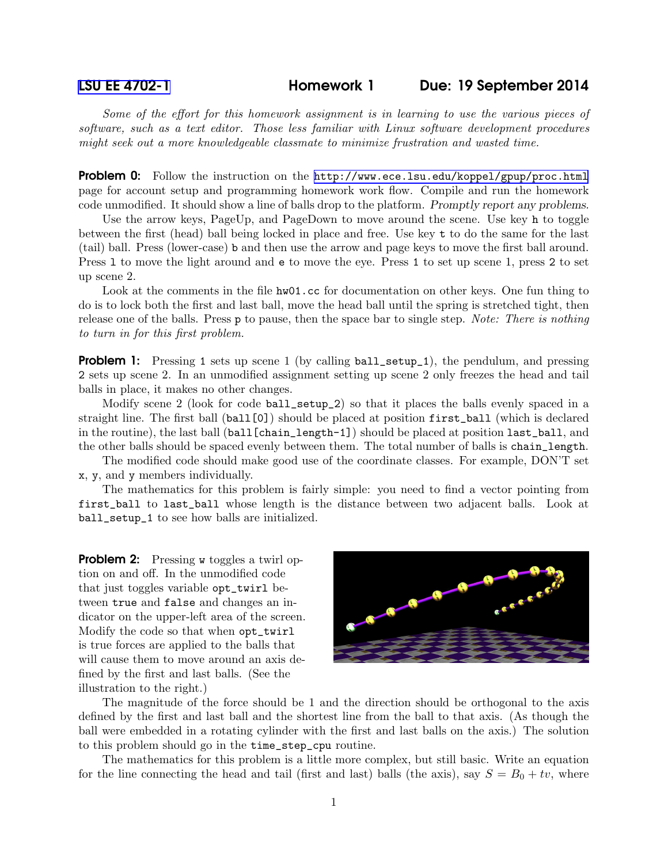[LSU EE 4702-1](http://www.ece.lsu.edu/koppel/gpup/) Homework 1 Due: 19 September 2014

*Some of the effort for this homework assignment is in learning to use the various pieces of software, such as a text editor. Those less familiar with Linux software development procedures might seek out a more knowledgeable classmate to minimize frustration and wasted time.*

**Problem 0:** Follow the instruction on the <http://www.ece.lsu.edu/koppel/gpup/proc.html> page for account setup and programming homework work flow. Compile and run the homework code unmodified. It should show a line of balls drop to the platform. Promptly report any problems.

Use the arrow keys, PageUp, and PageDown to move around the scene. Use key h to toggle between the first (head) ball being locked in place and free. Use key t to do the same for the last (tail) ball. Press (lower-case) b and then use the arrow and page keys to move the first ball around. Press l to move the light around and e to move the eye. Press 1 to set up scene 1, press 2 to set up scene 2.

Look at the comments in the file  $h\text{w01}$ , cc for documentation on other keys. One fun thing to do is to lock both the first and last ball, move the head ball until the spring is stretched tight, then release one of the balls. Press p to pause, then the space bar to single step. *Note: There is nothing to turn in for this first problem.*

**Problem 1:** Pressing 1 sets up scene 1 (by calling ball\_setup\_1), the pendulum, and pressing 2 sets up scene 2. In an unmodified assignment setting up scene 2 only freezes the head and tail balls in place, it makes no other changes.

Modify scene 2 (look for code ball\_setup\_2) so that it places the balls evenly spaced in a straight line. The first ball (ball[0]) should be placed at position first\_ball (which is declared in the routine), the last ball (ball[chain\_length-1]) should be placed at position last\_ball, and the other balls should be spaced evenly between them. The total number of balls is chain\_length.

The modified code should make good use of the coordinate classes. For example, DON'T set x, y, and y members individually.

The mathematics for this problem is fairly simple: you need to find a vector pointing from first\_ball to last\_ball whose length is the distance between two adjacent balls. Look at ball\_setup\_1 to see how balls are initialized.

**Problem 2:** Pressing w toggles a twirl option on and off. In the unmodified code that just toggles variable opt\_twirl between true and false and changes an indicator on the upper-left area of the screen. Modify the code so that when opt\_twirl is true forces are applied to the balls that will cause them to move around an axis defined by the first and last balls. (See the illustration to the right.)



The magnitude of the force should be 1 and the direction should be orthogonal to the axis defined by the first and last ball and the shortest line from the ball to that axis. (As though the ball were embedded in a rotating cylinder with the first and last balls on the axis.) The solution to this problem should go in the time\_step\_cpu routine.

The mathematics for this problem is a little more complex, but still basic. Write an equation for the line connecting the head and tail (first and last) balls (the axis), say  $S = B_0 + tv$ , where